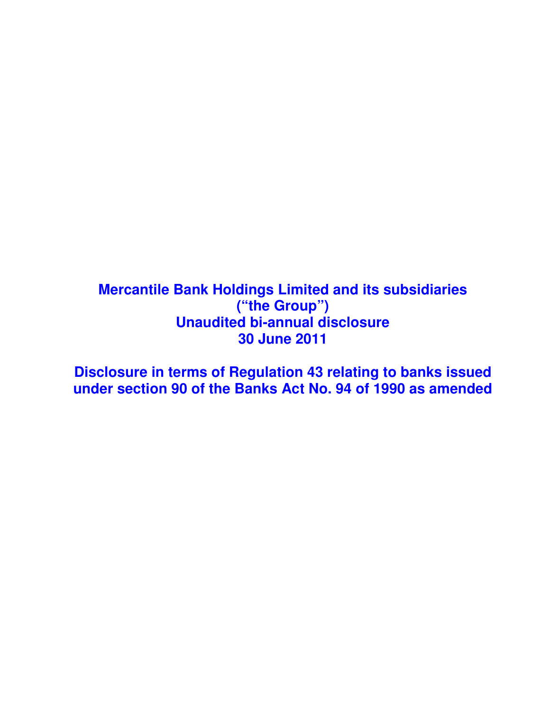# **Mercantile Bank Holdings Limited and its subsidiaries ("the Group") Unaudited bi-annual disclosure 30 June 2011**

**Disclosure in terms of Regulation 43 relating to banks issued under section 90 of the Banks Act No. 94 of 1990 as amended**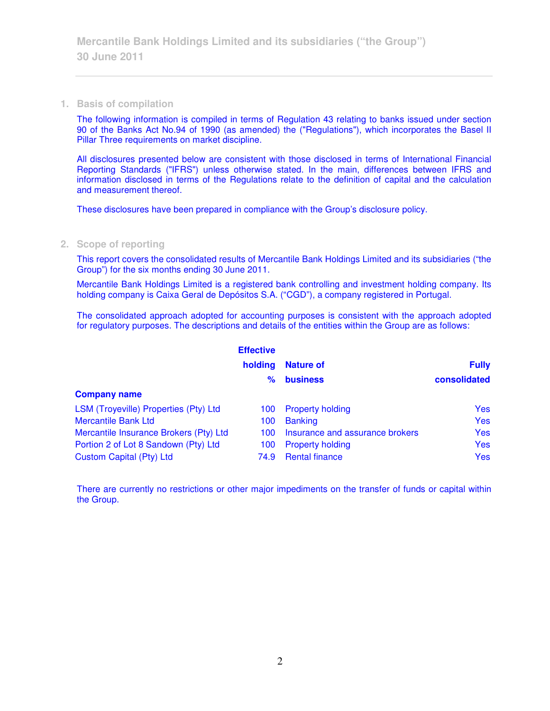#### **1. Basis of compilation**

The following information is compiled in terms of Regulation 43 relating to banks issued under section 90 of the Banks Act No.94 of 1990 (as amended) the ("Regulations"), which incorporates the Basel II Pillar Three requirements on market discipline.

All disclosures presented below are consistent with those disclosed in terms of International Financial Reporting Standards ("IFRS") unless otherwise stated. In the main, differences between IFRS and information disclosed in terms of the Regulations relate to the definition of capital and the calculation and measurement thereof.

These disclosures have been prepared in compliance with the Group's disclosure policy.

## **2. Scope of reporting**

This report covers the consolidated results of Mercantile Bank Holdings Limited and its subsidiaries ("the Group") for the six months ending 30 June 2011.

Mercantile Bank Holdings Limited is a registered bank controlling and investment holding company. Its holding company is Caixa Geral de Depósitos S.A. ("CGD"), a company registered in Portugal.

The consolidated approach adopted for accounting purposes is consistent with the approach adopted for regulatory purposes. The descriptions and details of the entities within the Group are as follows:

|                                        | <b>Effective</b> |                                 |              |
|----------------------------------------|------------------|---------------------------------|--------------|
|                                        | holding          | <b>Nature of</b>                | <b>Fully</b> |
|                                        | ℅                | <b>business</b>                 | consolidated |
| <b>Company name</b>                    |                  |                                 |              |
| LSM (Troyeville) Properties (Pty) Ltd  | 100              | <b>Property holding</b>         | <b>Yes</b>   |
| <b>Mercantile Bank Ltd</b>             | 100              | <b>Banking</b>                  | <b>Yes</b>   |
| Mercantile Insurance Brokers (Pty) Ltd | 100.             | Insurance and assurance brokers | Yes          |
| Portion 2 of Lot 8 Sandown (Pty) Ltd   | 100              | <b>Property holding</b>         | <b>Yes</b>   |
| Custom Capital (Pty) Ltd               | 74.9             | <b>Rental finance</b>           | <b>Yes</b>   |

There are currently no restrictions or other major impediments on the transfer of funds or capital within the Group.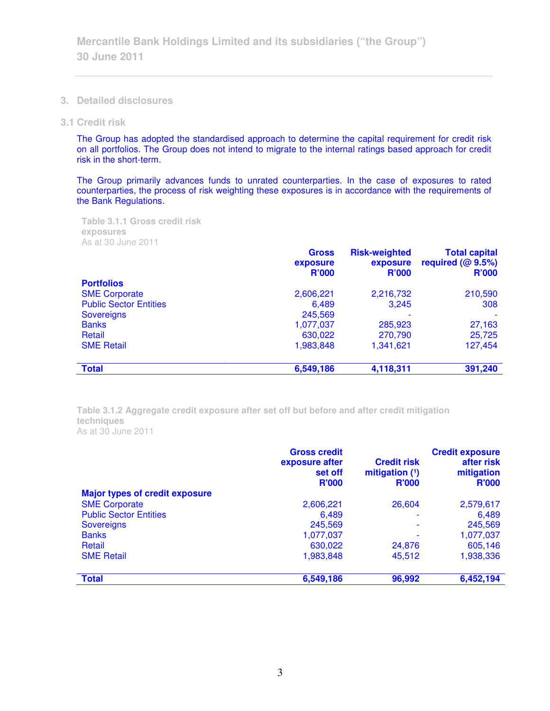- **3. Detailed disclosures**
- **3.1 Credit risk**

The Group has adopted the standardised approach to determine the capital requirement for credit risk on all portfolios. The Group does not intend to migrate to the internal ratings based approach for credit risk in the short-term.

The Group primarily advances funds to unrated counterparties. In the case of exposures to rated counterparties, the process of risk weighting these exposures is in accordance with the requirements of the Bank Regulations.

**Table 3.1.1 Gross credit risk exposures**  As at 30 June 2011

|                               | <b>Gross</b><br>exposure<br><b>R'000</b> | <b>Risk-weighted</b><br>exposure<br><b>R'000</b> | <b>Total capital</b><br>required $(@ 9.5%)$<br><b>R'000</b> |
|-------------------------------|------------------------------------------|--------------------------------------------------|-------------------------------------------------------------|
| <b>Portfolios</b>             |                                          |                                                  |                                                             |
| <b>SME Corporate</b>          | 2,606,221                                | 2,216,732                                        | 210,590                                                     |
| <b>Public Sector Entities</b> | 6,489                                    | 3,245                                            | 308                                                         |
| <b>Sovereigns</b>             | 245,569                                  |                                                  |                                                             |
| <b>Banks</b>                  | 1,077,037                                | 285,923                                          | 27,163                                                      |
| Retail                        | 630,022                                  | 270,790                                          | 25,725                                                      |
| <b>SME Retail</b>             | 1,983,848                                | 1,341,621                                        | 127,454                                                     |
| <b>Total</b>                  | 6,549,186                                | 4,118,311                                        | 391,240                                                     |

**Table 3.1.2 Aggregate credit exposure after set off but before and after credit mitigation techniques**  As at 30 June 2011

|                                       | <b>Gross credit</b><br>exposure after<br>set off<br><b>R'000</b> | <b>Credit risk</b><br>mitigation $(1)$<br><b>R'000</b> | <b>Credit exposure</b><br>after risk<br>mitigation<br><b>R'000</b> |
|---------------------------------------|------------------------------------------------------------------|--------------------------------------------------------|--------------------------------------------------------------------|
| <b>Major types of credit exposure</b> |                                                                  |                                                        |                                                                    |
| <b>SME Corporate</b>                  | 2,606,221                                                        | 26,604                                                 | 2,579,617                                                          |
| <b>Public Sector Entities</b>         | 6,489                                                            |                                                        | 6,489                                                              |
| <b>Sovereigns</b>                     | 245,569                                                          | $\overline{\phantom{a}}$                               | 245,569                                                            |
| <b>Banks</b>                          | 1,077,037                                                        |                                                        | 1,077,037                                                          |
| Retail                                | 630,022                                                          | 24,876                                                 | 605,146                                                            |
| <b>SME Retail</b>                     | 1,983,848                                                        | 45,512                                                 | 1,938,336                                                          |
| <b>Total</b>                          | 6,549,186                                                        | 96,992                                                 | 6,452,194                                                          |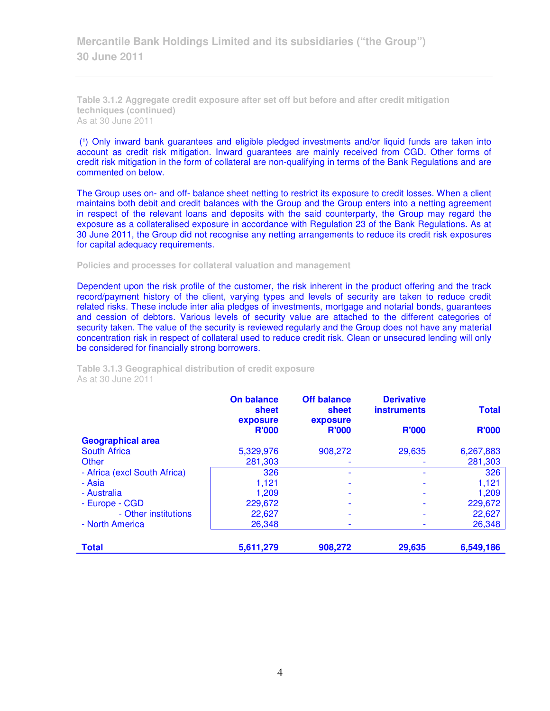**Mercantile Bank Holdings Limited and its subsidiaries ("the Group") 30 June 2011** 

**Table 3.1.2 Aggregate credit exposure after set off but before and after credit mitigation techniques (continued)**  As at 30 June 2011

(1) Only inward bank guarantees and eligible pledged investments and/or liquid funds are taken into account as credit risk mitigation. Inward guarantees are mainly received from CGD. Other forms of credit risk mitigation in the form of collateral are non-qualifying in terms of the Bank Regulations and are commented on below.

The Group uses on- and off- balance sheet netting to restrict its exposure to credit losses. When a client maintains both debit and credit balances with the Group and the Group enters into a netting agreement in respect of the relevant loans and deposits with the said counterparty, the Group may regard the exposure as a collateralised exposure in accordance with Regulation 23 of the Bank Regulations. As at 30 June 2011, the Group did not recognise any netting arrangements to reduce its credit risk exposures for capital adequacy requirements.

**Policies and processes for collateral valuation and management** 

Dependent upon the risk profile of the customer, the risk inherent in the product offering and the track record/payment history of the client, varying types and levels of security are taken to reduce credit related risks. These include inter alia pledges of investments, mortgage and notarial bonds, guarantees and cession of debtors. Various levels of security value are attached to the different categories of security taken. The value of the security is reviewed regularly and the Group does not have any material concentration risk in respect of collateral used to reduce credit risk. Clean or unsecured lending will only be considered for financially strong borrowers.

**Table 3.1.3 Geographical distribution of credit exposure**  As at 30 June 2011

|                              | <b>On balance</b><br>sheet<br>exposure | <b>Off balance</b><br>sheet<br>exposure | <b>Derivative</b><br><b>instruments</b> | <b>Total</b> |
|------------------------------|----------------------------------------|-----------------------------------------|-----------------------------------------|--------------|
|                              | <b>R'000</b>                           | <b>R'000</b>                            | <b>R'000</b>                            | <b>R'000</b> |
| <b>Geographical area</b>     |                                        |                                         |                                         |              |
| <b>South Africa</b>          | 5,329,976                              | 908,272                                 | 29,635                                  | 6,267,883    |
| Other                        | 281,303                                | $\overline{\phantom{0}}$                |                                         | 281,303      |
| - Africa (excl South Africa) | 326                                    |                                         |                                         | 326          |
| - Asia                       | 1,121                                  |                                         |                                         | 1,121        |
| - Australia                  | 1.209                                  |                                         |                                         | 1.209        |
| - Europe - CGD               | 229,672                                |                                         |                                         | 229,672      |
| - Other institutions         | 22,627                                 | $\overline{\phantom{a}}$                |                                         | 22,627       |
| - North America              | 26,348                                 |                                         |                                         | 26,348       |
|                              |                                        |                                         |                                         |              |
| <b>Total</b>                 | 5,611,279                              | 908,272                                 | 29,635                                  | 6,549,186    |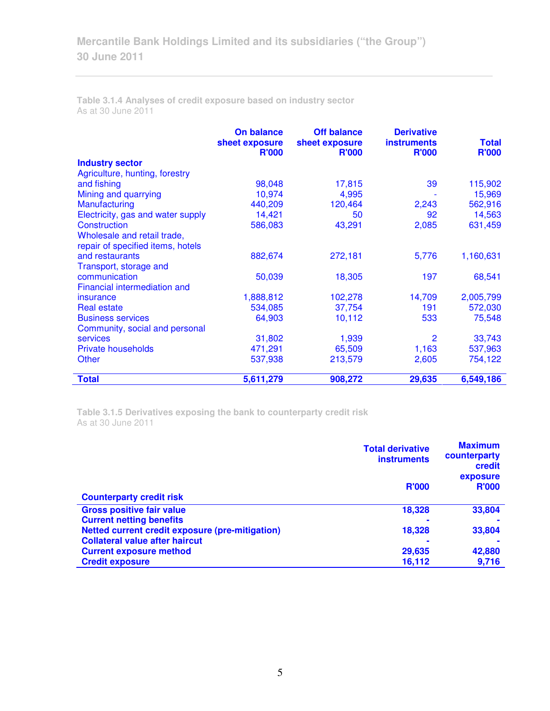**Table 3.1.4 Analyses of credit exposure based on industry sector**  As at 30 June 2011

|                                   | <b>On balance</b><br>sheet exposure | <b>Off balance</b><br>sheet exposure | <b>Derivative</b><br><b>instruments</b> | <b>Total</b> |
|-----------------------------------|-------------------------------------|--------------------------------------|-----------------------------------------|--------------|
|                                   | <b>R'000</b>                        | <b>R'000</b>                         | <b>R'000</b>                            | <b>R'000</b> |
| <b>Industry sector</b>            |                                     |                                      |                                         |              |
| Agriculture, hunting, forestry    |                                     |                                      |                                         |              |
| and fishing                       | 98,048                              | 17,815                               | 39                                      | 115,902      |
| Mining and quarrying              | 10,974                              | 4,995                                |                                         | 15,969       |
| Manufacturing                     | 440,209                             | 120,464                              | 2,243                                   | 562,916      |
| Electricity, gas and water supply | 14,421                              | 50                                   | 92                                      | 14,563       |
| Construction                      | 586,083                             | 43,291                               | 2,085                                   | 631,459      |
| Wholesale and retail trade,       |                                     |                                      |                                         |              |
| repair of specified items, hotels |                                     |                                      |                                         |              |
| and restaurants                   | 882,674                             | 272,181                              | 5,776                                   | 1,160,631    |
| Transport, storage and            |                                     |                                      |                                         |              |
| communication                     | 50,039                              | 18,305                               | 197                                     | 68,541       |
| Financial intermediation and      |                                     |                                      |                                         |              |
| insurance                         | 1,888,812                           | 102,278                              | 14,709                                  | 2,005,799    |
| <b>Real estate</b>                | 534,085                             | 37,754                               | 191                                     | 572,030      |
| <b>Business services</b>          | 64,903                              | 10,112                               | 533                                     | 75,548       |
| Community, social and personal    |                                     |                                      |                                         |              |
| <b>services</b>                   | 31,802                              | 1,939                                | $\overline{2}$                          | 33,743       |
| <b>Private households</b>         | 471,291                             | 65,509                               | 1,163                                   | 537,963      |
| <b>Other</b>                      | 537,938                             | 213,579                              | 2,605                                   | 754,122      |
|                                   |                                     |                                      |                                         |              |
| <b>Total</b>                      | 5,611,279                           | 908,272                              | 29,635                                  | 6,549,186    |

**Table 3.1.5 Derivatives exposing the bank to counterparty credit risk**  As at 30 June 2011

|                                                 | <b>Total derivative</b><br><b>instruments</b> | <b>Maximum</b><br>counterparty<br>credit<br>exposure |
|-------------------------------------------------|-----------------------------------------------|------------------------------------------------------|
| <b>Counterparty credit risk</b>                 | <b>R'000</b>                                  | <b>R'000</b>                                         |
| <b>Gross positive fair value</b>                | 18,328                                        | 33,804                                               |
| <b>Current netting benefits</b>                 |                                               |                                                      |
| Netted current credit exposure (pre-mitigation) | 18,328                                        | 33,804                                               |
| <b>Collateral value after haircut</b>           |                                               |                                                      |
| <b>Current exposure method</b>                  | 29,635                                        | 42,880                                               |
| <b>Credit exposure</b>                          | 16,112                                        | 9,716                                                |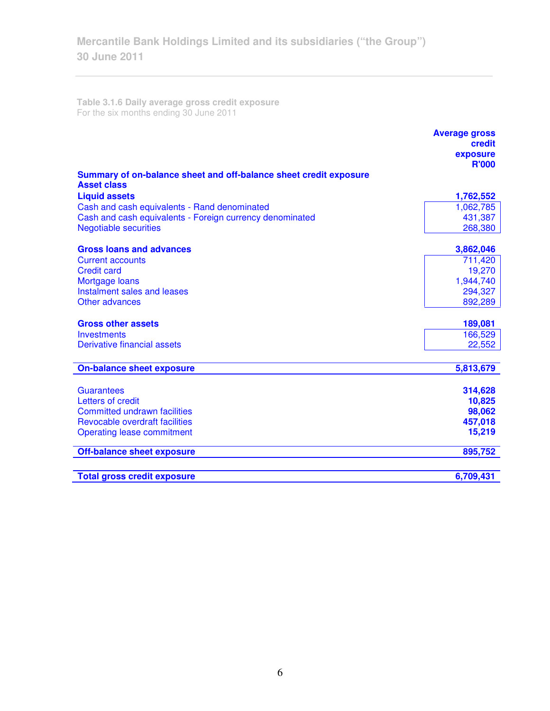**Table 3.1.6 Daily average gross credit exposure**  For the six months ending 30 June 2011

|                                                                                         | <b>Average gross</b><br>credit |
|-----------------------------------------------------------------------------------------|--------------------------------|
|                                                                                         | exposure                       |
|                                                                                         | <b>R'000</b>                   |
| Summary of on-balance sheet and off-balance sheet credit exposure<br><b>Asset class</b> |                                |
| <b>Liquid assets</b>                                                                    | 1,762,552                      |
| Cash and cash equivalents - Rand denominated                                            | 1,062,785                      |
| Cash and cash equivalents - Foreign currency denominated                                | 431,387                        |
| <b>Negotiable securities</b>                                                            | 268,380                        |
| <b>Gross loans and advances</b>                                                         | 3,862,046                      |
| <b>Current accounts</b>                                                                 | 711,420                        |
| <b>Credit card</b>                                                                      | 19,270                         |
| Mortgage loans                                                                          | 1,944,740                      |
| Instalment sales and leases                                                             | 294,327                        |
| Other advances                                                                          | 892,289                        |
| <b>Gross other assets</b>                                                               | 189,081                        |
| <b>Investments</b>                                                                      | 166,529                        |
| Derivative financial assets                                                             | 22,552                         |
| <b>On-balance sheet exposure</b>                                                        | 5,813,679                      |
|                                                                                         |                                |
| <b>Guarantees</b>                                                                       | 314,628                        |
| Letters of credit                                                                       | 10,825                         |
| <b>Committed undrawn facilities</b>                                                     | 98,062                         |
| <b>Revocable overdraft facilities</b>                                                   | 457,018                        |
| Operating lease commitment                                                              | 15,219                         |
| <b>Off-balance sheet exposure</b>                                                       | 895,752                        |
| <b>Total gross credit exposure</b>                                                      | 6,709,431                      |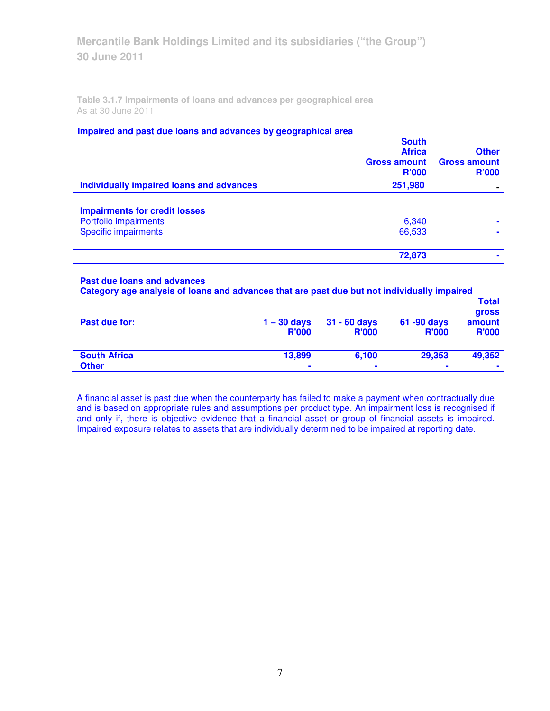**Table 3.1.7 Impairments of loans and advances per geographical area**  As at 30 June 2011

## **Impaired and past due loans and advances by geographical area**

|                                          | <b>South</b><br><b>Africa</b><br><b>Gross amount</b><br>R'000 | <b>Other</b><br><b>Gross amount</b><br><b>R'000</b> |
|------------------------------------------|---------------------------------------------------------------|-----------------------------------------------------|
| Individually impaired loans and advances | 251,980                                                       |                                                     |
| <b>Impairments for credit losses</b>     |                                                               |                                                     |
| Portfolio impairments                    | 6,340                                                         | ۰                                                   |
| <b>Specific impairments</b>              | 66,533                                                        |                                                     |
|                                          | 72,873                                                        |                                                     |
|                                          |                                                               |                                                     |

#### **Past due loans and advances**

| Category age analysis of loans and advances that are past due but not individually impaired |                               | <b>Total</b>                   |                                |                                        |
|---------------------------------------------------------------------------------------------|-------------------------------|--------------------------------|--------------------------------|----------------------------------------|
| Past due for:                                                                               | $1 - 30$ days<br><b>R'000</b> | $31 - 60$ days<br><b>R'000</b> | $61 - 90$ days<br><b>R'000</b> | <b>gross</b><br>amount<br><b>R'000</b> |
| <b>South Africa</b><br><b>Other</b>                                                         | 13.899                        | 6.100<br>۰                     | 29,353<br>۰                    | 49,352<br>٠                            |

A financial asset is past due when the counterparty has failed to make a payment when contractually due and is based on appropriate rules and assumptions per product type. An impairment loss is recognised if and only if, there is objective evidence that a financial asset or group of financial assets is impaired. Impaired exposure relates to assets that are individually determined to be impaired at reporting date.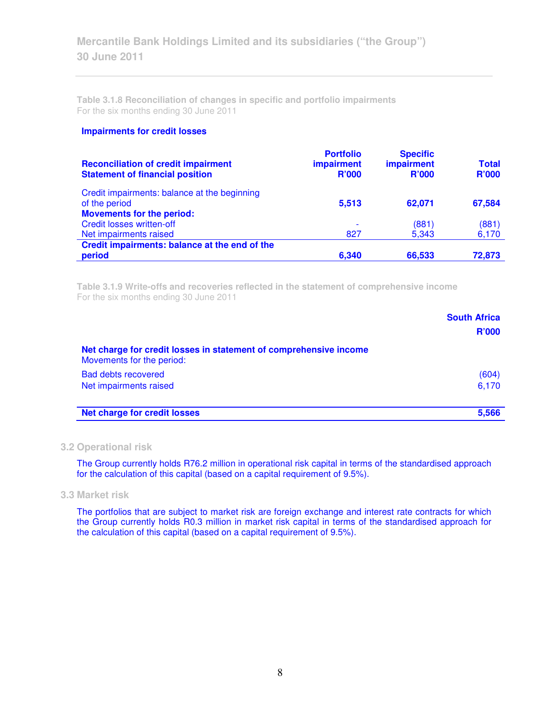**Table 3.1.8 Reconciliation of changes in specific and portfolio impairments**  For the six months ending 30 June 2011

#### **Impairments for credit losses**

| <b>Reconciliation of credit impairment</b><br><b>Statement of financial position</b>              | <b>Portfolio</b><br><b>impairment</b><br><b>R'000</b> | <b>Specific</b><br>impairment<br><b>R'000</b> | <b>Total</b><br><b>R'000</b> |
|---------------------------------------------------------------------------------------------------|-------------------------------------------------------|-----------------------------------------------|------------------------------|
| Credit impairments: balance at the beginning<br>of the period<br><b>Movements for the period:</b> | 5,513                                                 | 62,071                                        | 67,584                       |
| <b>Credit losses written-off</b>                                                                  |                                                       | (881)                                         | (881)                        |
| Net impairments raised                                                                            | 827                                                   | 5,343                                         | 6,170                        |
| Credit impairments: balance at the end of the<br>period                                           | 6,340                                                 | 66,533                                        | 72,873                       |

**Table 3.1.9 Write-offs and recoveries reflected in the statement of comprehensive income**  For the six months ending 30 June 2011

|                                                                                                | <b>South Africa</b> |
|------------------------------------------------------------------------------------------------|---------------------|
|                                                                                                | <b>R'000</b>        |
| Net charge for credit losses in statement of comprehensive income<br>Movements for the period: |                     |
| <b>Bad debts recovered</b>                                                                     | (604)               |
| Net impairments raised                                                                         | 6,170               |
| <b>Net charge for credit losses</b>                                                            | 5.566               |

## **3.2 Operational risk**

The Group currently holds R76.2 million in operational risk capital in terms of the standardised approach for the calculation of this capital (based on a capital requirement of 9.5%).

## **3.3 Market risk**

The portfolios that are subject to market risk are foreign exchange and interest rate contracts for which the Group currently holds R0.3 million in market risk capital in terms of the standardised approach for the calculation of this capital (based on a capital requirement of 9.5%).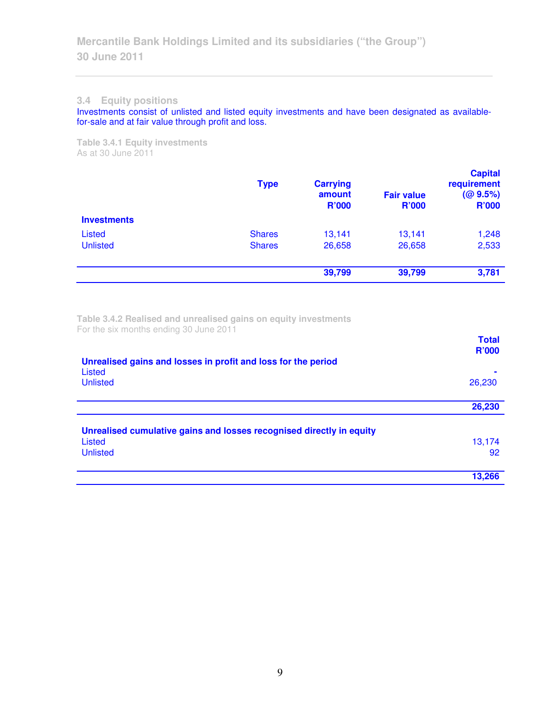### **3.4 Equity positions**

Investments consist of unlisted and listed equity investments and have been designated as availablefor-sale and at fair value through profit and loss.

**Table 3.4.1 Equity investments**  As at 30 June 2011

|                    | <b>Type</b>   | <b>Carrying</b><br>amount<br><b>R'000</b> | <b>Fair value</b><br><b>R'000</b> | <b>Capital</b><br>requirement<br>(QQ 9.5%)<br><b>R'000</b> |
|--------------------|---------------|-------------------------------------------|-----------------------------------|------------------------------------------------------------|
| <b>Investments</b> |               |                                           |                                   |                                                            |
| Listed             | <b>Shares</b> | 13,141                                    | 13,141                            | 1,248                                                      |
| <b>Unlisted</b>    | <b>Shares</b> | 26,658                                    | 26,658                            | 2,533                                                      |
|                    |               | 39,799                                    | 39,799                            | 3,781                                                      |

**Table 3.4.2 Realised and unrealised gains on equity investments**  For the six months ending 30 June 2011

|                                                                         | <b>Total</b><br><b>R'000</b> |
|-------------------------------------------------------------------------|------------------------------|
| Unrealised gains and losses in profit and loss for the period<br>Listed |                              |
| <b>Unlisted</b>                                                         | 26,230                       |
|                                                                         | 26,230                       |
| Unrealised cumulative gains and losses recognised directly in equity    |                              |
| Listed                                                                  | 13,174                       |
| <b>Unlisted</b>                                                         | 92                           |
|                                                                         | 13,266                       |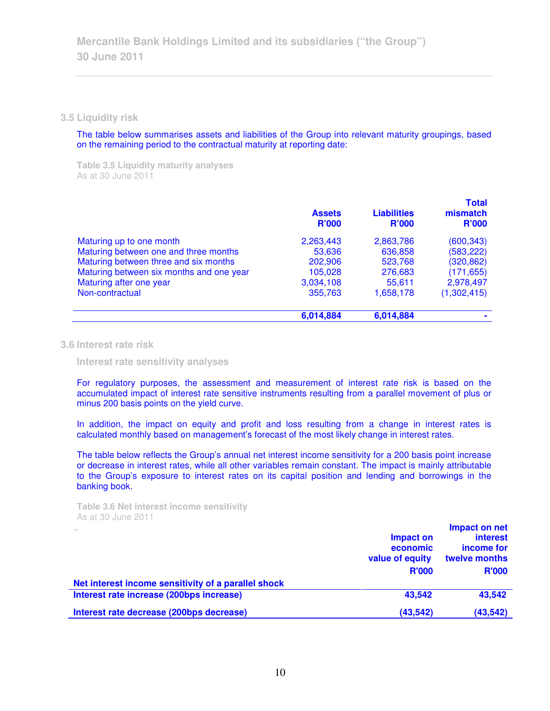#### **3.5 Liquidity risk**

The table below summarises assets and liabilities of the Group into relevant maturity groupings, based on the remaining period to the contractual maturity at reporting date:

**Table 3.5 Liquidity maturity analyses**  As at 30 June 2011

|                                          | <b>Assets</b><br><b>R'000</b> | <b>Liabilities</b><br><b>R'000</b> | <b>Total</b><br>mismatch<br><b>R'000</b> |
|------------------------------------------|-------------------------------|------------------------------------|------------------------------------------|
| Maturing up to one month                 | 2,263,443                     | 2,863,786                          | (600, 343)                               |
| Maturing between one and three months    | 53,636                        | 636,858                            | (583, 222)                               |
| Maturing between three and six months    | 202,906                       | 523,768                            | (320, 862)                               |
| Maturing between six months and one year | 105,028                       | 276,683                            | (171, 655)                               |
| Maturing after one year                  | 3,034,108                     | 55,611                             | 2,978,497                                |
| Non-contractual                          | 355,763                       | 1,658,178                          | (1,302,415)                              |
|                                          | 6,014,884                     | 6,014,884                          |                                          |

#### **3.6 Interest rate risk**

 **Interest rate sensitivity analyses** 

For regulatory purposes, the assessment and measurement of interest rate risk is based on the accumulated impact of interest rate sensitive instruments resulting from a parallel movement of plus or minus 200 basis points on the yield curve.

In addition, the impact on equity and profit and loss resulting from a change in interest rates is calculated monthly based on management's forecast of the most likely change in interest rates.

The table below reflects the Group's annual net interest income sensitivity for a 200 basis point increase or decrease in interest rates, while all other variables remain constant. The impact is mainly attributable to the Group's exposure to interest rates on its capital position and lending and borrowings in the banking book.

```
Table 3.6 Net interest income sensitivity 
As at 30 June 2011
```

| <b>ALC</b>                                          | Impact on<br>economic<br>value of equity<br><b>R'000</b> | Impact on net<br><b>interest</b><br>income for<br>twelve months<br><b>R'000</b> |
|-----------------------------------------------------|----------------------------------------------------------|---------------------------------------------------------------------------------|
| Net interest income sensitivity of a parallel shock |                                                          |                                                                                 |
| Interest rate increase (200bps increase)            | 43,542                                                   | 43,542                                                                          |
| Interest rate decrease (200bps decrease)            | (43, 542)                                                | (43, 542)                                                                       |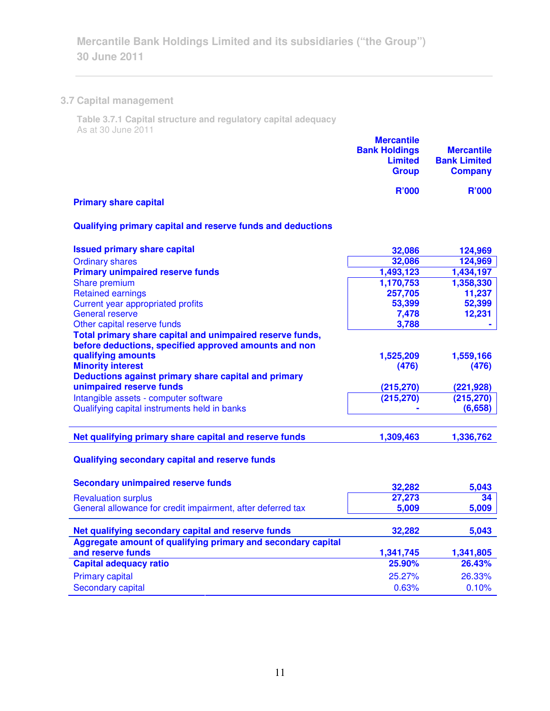# **3.7 Capital management**

**Table 3.7.1 Capital structure and regulatory capital adequacy**  As at 30 June 2011

|                              | <b>Mercantile</b><br><b>Bank Holdings</b><br><b>Limited</b><br><b>Group</b> | <b>Mercantile</b><br><b>Bank Limited</b><br><b>Company</b> |
|------------------------------|-----------------------------------------------------------------------------|------------------------------------------------------------|
| <b>Primary share capital</b> | <b>R'000</b>                                                                | <b>R'000</b>                                               |

# **Qualifying primary capital and reserve funds and deductions**

| <b>Issued primary share capital</b>                          | 32,086     | 124,969    |
|--------------------------------------------------------------|------------|------------|
| <b>Ordinary shares</b>                                       | 32,086     | 124,969    |
| <b>Primary unimpaired reserve funds</b>                      | 1,493,123  | 1,434,197  |
| Share premium                                                | 1,170,753  | 1,358,330  |
| <b>Retained earnings</b>                                     | 257,705    | 11,237     |
| Current year appropriated profits                            | 53,399     | 52,399     |
| <b>General reserve</b>                                       | 7,478      | 12,231     |
| Other capital reserve funds                                  | 3,788      |            |
| Total primary share capital and unimpaired reserve funds,    |            |            |
| before deductions, specified approved amounts and non        |            |            |
| qualifying amounts                                           | 1,525,209  | 1,559,166  |
| <b>Minority interest</b>                                     | (476)      | (476)      |
| Deductions against primary share capital and primary         |            |            |
| unimpaired reserve funds                                     | (215, 270) | (221, 928) |
| Intangible assets - computer software                        | (215, 270) | (215, 270) |
| Qualifying capital instruments held in banks                 |            | (6,658)    |
|                                                              |            |            |
| Net qualifying primary share capital and reserve funds       | 1,309,463  | 1,336,762  |
| Qualifying secondary capital and reserve funds               |            |            |
| <b>Secondary unimpaired reserve funds</b>                    | 32,282     | 5,043      |
| <b>Revaluation surplus</b>                                   | 27,273     | 34         |
| General allowance for credit impairment, after deferred tax  | 5,009      | 5,009      |
| Net qualifying secondary capital and reserve funds           | 32,282     | 5,043      |
| Aggregate amount of qualifying primary and secondary capital |            |            |
| and reserve funds                                            | 1,341,745  | 1,341,805  |
| <b>Capital adequacy ratio</b>                                | 25.90%     | 26.43%     |
| <b>Primary capital</b>                                       | 25.27%     | 26.33%     |
| <b>Secondary capital</b>                                     | 0.63%      | 0.10%      |